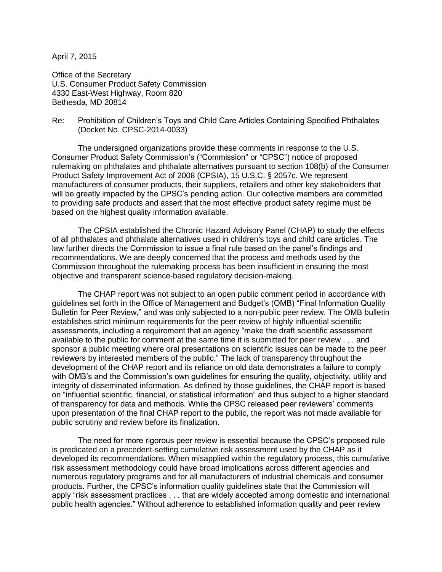April 7, 2015

Office of the Secretary U.S. Consumer Product Safety Commission 4330 East-West Highway, Room 820 Bethesda, MD 20814

Re: Prohibition of Children's Toys and Child Care Articles Containing Specified Phthalates (Docket No. CPSC-2014-0033)

The undersigned organizations provide these comments in response to the U.S. Consumer Product Safety Commission's ("Commission" or "CPSC") notice of proposed rulemaking on phthalates and phthalate alternatives pursuant to section 108(b) of the Consumer Product Safety Improvement Act of 2008 (CPSIA), 15 U.S.C. § 2057c. We represent manufacturers of consumer products, their suppliers, retailers and other key stakeholders that will be greatly impacted by the CPSC's pending action. Our collective members are committed to providing safe products and assert that the most effective product safety regime must be based on the highest quality information available.

The CPSIA established the Chronic Hazard Advisory Panel (CHAP) to study the effects of all phthalates and phthalate alternatives used in children's toys and child care articles. The law further directs the Commission to issue a final rule based on the panel's findings and recommendations. We are deeply concerned that the process and methods used by the Commission throughout the rulemaking process has been insufficient in ensuring the most objective and transparent science-based regulatory decision-making.

The CHAP report was not subject to an open public comment period in accordance with guidelines set forth in the Office of Management and Budget's (OMB) "Final Information Quality Bulletin for Peer Review," and was only subjected to a non-public peer review. The OMB bulletin establishes strict minimum requirements for the peer review of highly influential scientific assessments, including a requirement that an agency "make the draft scientific assessment available to the public for comment at the same time it is submitted for peer review . . . and sponsor a public meeting where oral presentations on scientific issues can be made to the peer reviewers by interested members of the public." The lack of transparency throughout the development of the CHAP report and its reliance on old data demonstrates a failure to comply with OMB's and the Commission's own guidelines for ensuring the quality, objectivity, utility and integrity of disseminated information. As defined by those guidelines, the CHAP report is based on "influential scientific, financial, or statistical information" and thus subject to a higher standard of transparency for data and methods. While the CPSC released peer reviewers' comments upon presentation of the final CHAP report to the public, the report was not made available for public scrutiny and review before its finalization.

The need for more rigorous peer review is essential because the CPSC's proposed rule is predicated on a precedent-setting cumulative risk assessment used by the CHAP as it developed its recommendations. When misapplied within the regulatory process, this cumulative risk assessment methodology could have broad implications across different agencies and numerous regulatory programs and for all manufacturers of industrial chemicals and consumer products. Further, the CPSC's information quality guidelines state that the Commission will apply "risk assessment practices . . . that are widely accepted among domestic and international public health agencies." Without adherence to established information quality and peer review